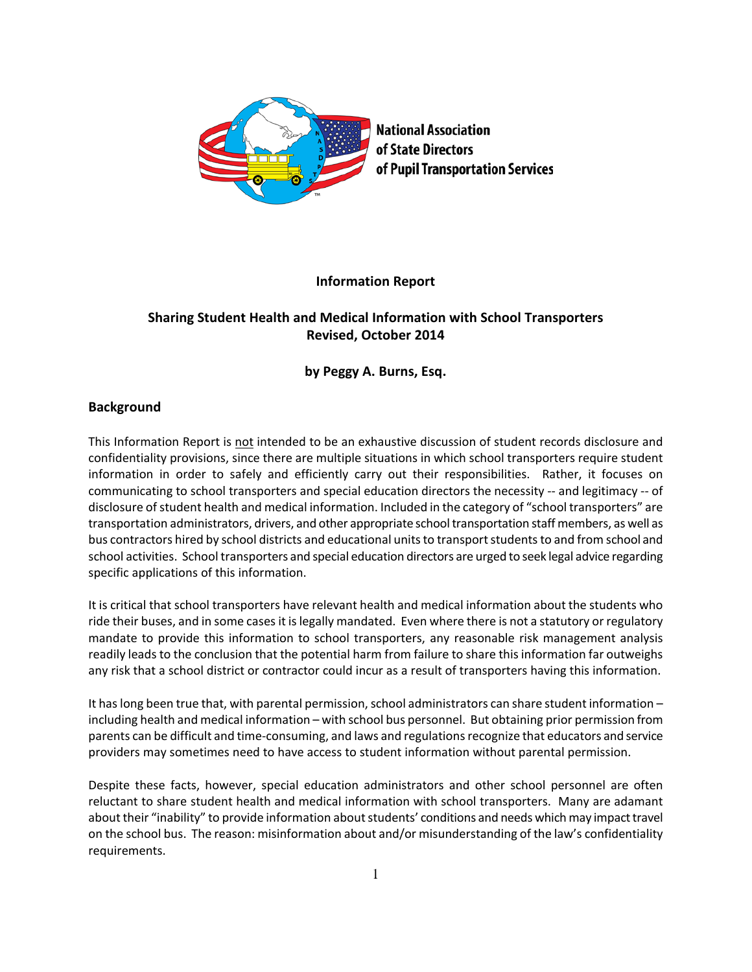

# **Information Report**

# **Sharing Student Health and Medical Information with School Transporters Revised, October 2014**

# **by Peggy A. Burns, Esq.**

# **Background**

This Information Report is not intended to be an exhaustive discussion of student records disclosure and confidentiality provisions, since there are multiple situations in which school transporters require student information in order to safely and efficiently carry out their responsibilities. Rather, it focuses on communicating to school transporters and special education directors the necessity -- and legitimacy -- of disclosure of student health and medical information. Included in the category of "school transporters" are transportation administrators, drivers, and other appropriate school transportation staff members, as well as bus contractors hired by school districts and educational units to transport students to and from school and school activities. School transporters and special education directors are urged to seek legal advice regarding specific applications of this information.

It is critical that school transporters have relevant health and medical information about the students who ride their buses, and in some cases it is legally mandated. Even where there is not a statutory or regulatory mandate to provide this information to school transporters, any reasonable risk management analysis readily leads to the conclusion that the potential harm from failure to share this information far outweighs any risk that a school district or contractor could incur as a result of transporters having this information.

It has long been true that, with parental permission, school administrators can share student information – including health and medical information – with school bus personnel. But obtaining prior permission from parents can be difficult and time-consuming, and laws and regulations recognize that educators and service providers may sometimes need to have access to student information without parental permission.

Despite these facts, however, special education administrators and other school personnel are often reluctant to share student health and medical information with school transporters. Many are adamant about their "inability" to provide information about students' conditions and needs which may impact travel on the school bus. The reason: misinformation about and/or misunderstanding of the law's confidentiality requirements.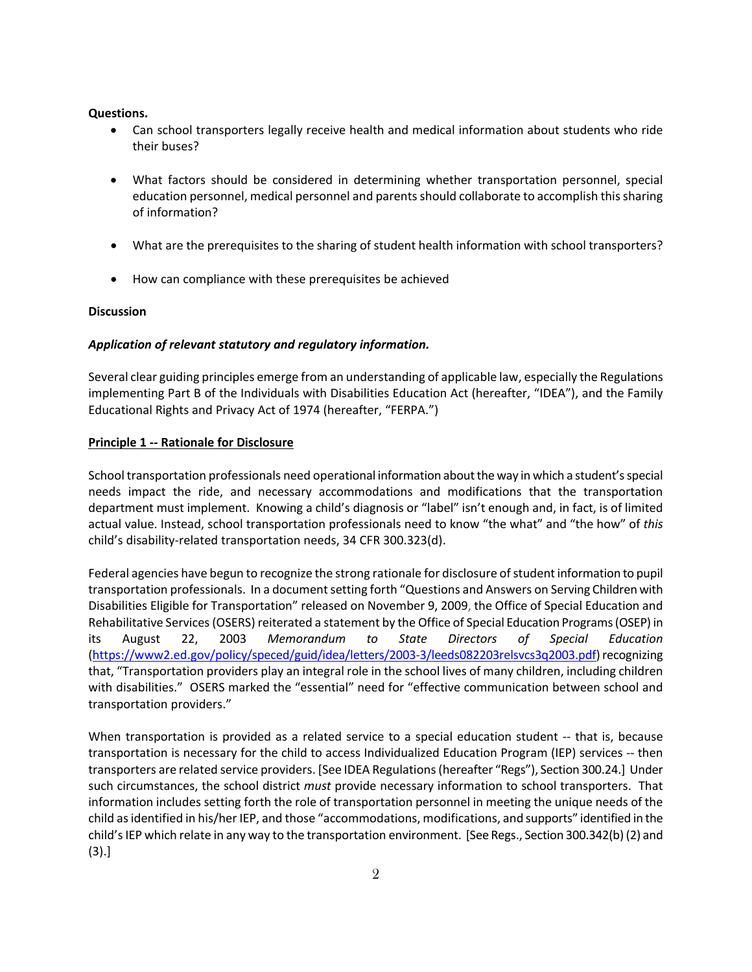### **Questions.**

- Can school transporters legally receive health and medical information about students who ride their buses?
- What factors should be considered in determining whether transportation personnel, special education personnel, medical personnel and parents should collaborate to accomplish this sharing of information?
- What are the prerequisites to the sharing of student health information with school transporters?
- How can compliance with these prerequisites be achieved

### **Discussion**

## *Application of relevant statutory and regulatory information.*

Several clear guiding principles emerge from an understanding of applicable law, especially the Regulations implementing Part B of the Individuals with Disabilities Education Act (hereafter, "IDEA"), and the Family Educational Rights and Privacy Act of 1974 (hereafter, "FERPA.")

## **Principle 1 -- Rationale for Disclosure**

School transportation professionals need operational information about the way in which a student's special needs impact the ride, and necessary accommodations and modifications that the transportation department must implement. Knowing a child's diagnosis or "label" isn't enough and, in fact, is of limited actual value. Instead, school transportation professionals need to know "the what" and "the how" of *this* child's disability-related transportation needs, 34 CFR 300.323(d).

Federal agencies have begun to recognize the strong rationale for disclosure of student information to pupil transportation professionals. In a document setting forth "Questions and Answers on Serving Children with Disabilities Eligible for Transportation" released on November 9, 2009, the Office of Special Education and Rehabilitative Services (OSERS) reiterated a statement by the Office of Special Education Programs (OSEP) in its August 22, 2003 *Memorandum to State Directors of Special Education* [\(https://www2.ed.gov/policy/speced/guid/idea/letters/2003-3/leeds082203relsvcs3q2003.pdf\)](https://www2.ed.gov/policy/speced/guid/idea/letters/2003-3/leeds082203relsvcs3q2003.pdf) recognizing that, "Transportation providers play an integral role in the school lives of many children, including children with disabilities." OSERS marked the "essential" need for "effective communication between school and transportation providers."

When transportation is provided as a related service to a special education student -- that is, because transportation is necessary for the child to access Individualized Education Program (IEP) services -- then transporters are related service providers. [See IDEA Regulations (hereafter "Regs"), Section 300.24.] Under such circumstances, the school district *must* provide necessary information to school transporters. That information includes setting forth the role of transportation personnel in meeting the unique needs of the child as identified in his/her IEP, and those "accommodations, modifications, and supports" identified in the child's IEP which relate in any way to the transportation environment. [See Regs., Section 300.342(b) (2) and (3).]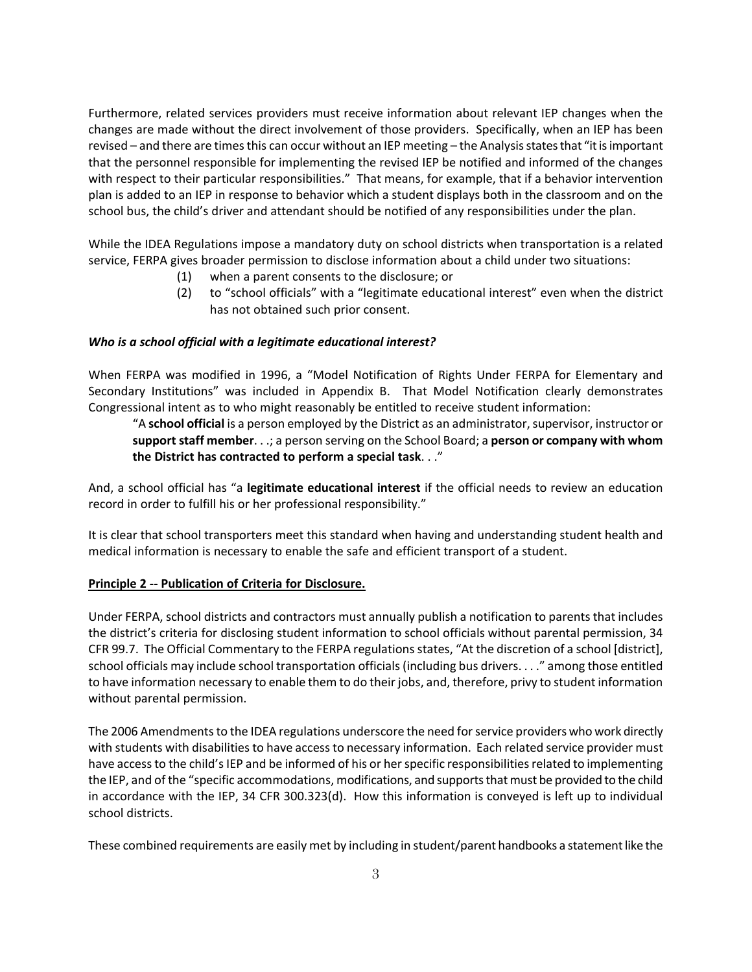Furthermore, related services providers must receive information about relevant IEP changes when the changes are made without the direct involvement of those providers. Specifically, when an IEP has been revised – and there are times this can occur without an IEP meeting – the Analysis states that "it is important that the personnel responsible for implementing the revised IEP be notified and informed of the changes with respect to their particular responsibilities." That means, for example, that if a behavior intervention plan is added to an IEP in response to behavior which a student displays both in the classroom and on the school bus, the child's driver and attendant should be notified of any responsibilities under the plan.

While the IDEA Regulations impose a mandatory duty on school districts when transportation is a related service, FERPA gives broader permission to disclose information about a child under two situations:

- (1) when a parent consents to the disclosure; or
- (2) to "school officials" with a "legitimate educational interest" even when the district has not obtained such prior consent.

## *Who is a school official with a legitimate educational interest?*

When FERPA was modified in 1996, a "Model Notification of Rights Under FERPA for Elementary and Secondary Institutions" was included in Appendix B. That Model Notification clearly demonstrates Congressional intent as to who might reasonably be entitled to receive student information:

"A **school official** is a person employed by the District as an administrator, supervisor, instructor or **support staff member**. . .; a person serving on the School Board; a **person or company with whom the District has contracted to perform a special task**. . ."

And, a school official has "a **legitimate educational interest** if the official needs to review an education record in order to fulfill his or her professional responsibility."

It is clear that school transporters meet this standard when having and understanding student health and medical information is necessary to enable the safe and efficient transport of a student.

## **Principle 2 -- Publication of Criteria for Disclosure.**

Under FERPA, school districts and contractors must annually publish a notification to parents that includes the district's criteria for disclosing student information to school officials without parental permission, 34 CFR 99.7. The Official Commentary to the FERPA regulations states, "At the discretion of a school [district], school officials may include school transportation officials (including bus drivers. . . ." among those entitled to have information necessary to enable them to do their jobs, and, therefore, privy to student information without parental permission.

The 2006 Amendments to the IDEA regulations underscore the need for service providers who work directly with students with disabilities to have access to necessary information. Each related service provider must have access to the child's IEP and be informed of his or her specific responsibilities related to implementing the IEP, and of the "specific accommodations, modifications, and supports that must be provided to the child in accordance with the IEP, 34 CFR 300.323(d). How this information is conveyed is left up to individual school districts.

These combined requirements are easily met by including in student/parent handbooks a statement like the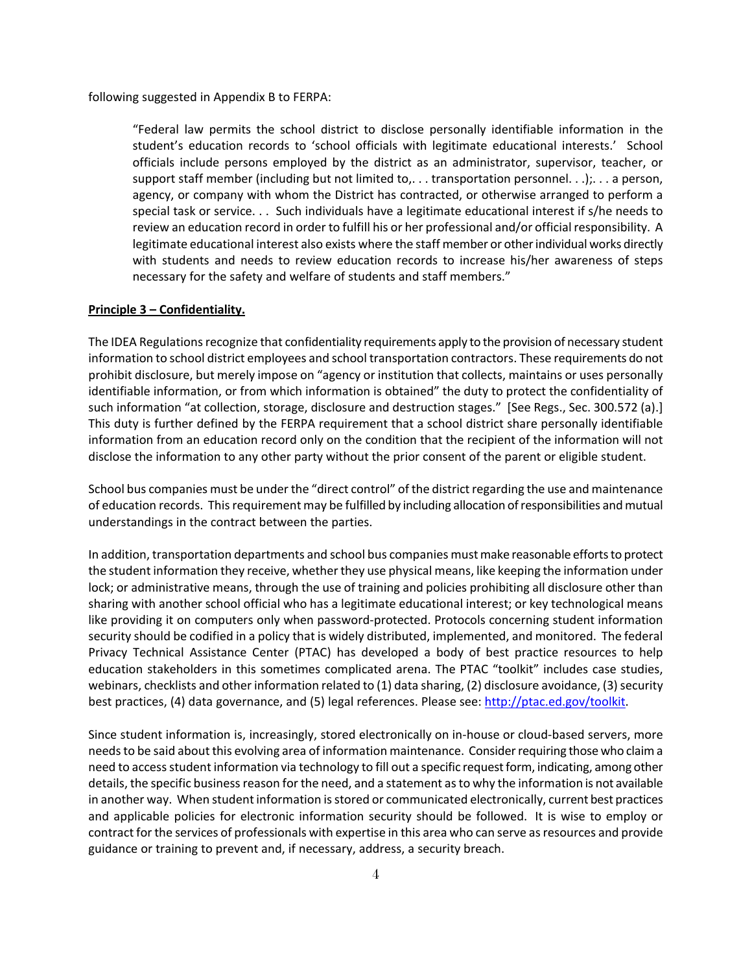following suggested in Appendix B to FERPA:

"Federal law permits the school district to disclose personally identifiable information in the student's education records to 'school officials with legitimate educational interests.' School officials include persons employed by the district as an administrator, supervisor, teacher, or support staff member (including but not limited to,... transportation personnel...);... a person, agency, or company with whom the District has contracted, or otherwise arranged to perform a special task or service. . . Such individuals have a legitimate educational interest if s/he needs to review an education record in order to fulfill his or her professional and/or official responsibility. A legitimate educational interest also exists where the staff member or other individual works directly with students and needs to review education records to increase his/her awareness of steps necessary for the safety and welfare of students and staff members."

#### **Principle 3 – Confidentiality.**

The IDEA Regulations recognize that confidentiality requirements apply to the provision of necessary student information to school district employees and school transportation contractors. These requirements do not prohibit disclosure, but merely impose on "agency or institution that collects, maintains or uses personally identifiable information, or from which information is obtained" the duty to protect the confidentiality of such information "at collection, storage, disclosure and destruction stages." [See Regs., Sec. 300.572 (a).] This duty is further defined by the FERPA requirement that a school district share personally identifiable information from an education record only on the condition that the recipient of the information will not disclose the information to any other party without the prior consent of the parent or eligible student.

School bus companies must be under the "direct control" of the district regarding the use and maintenance of education records. This requirement may be fulfilled by including allocation of responsibilities and mutual understandings in the contract between the parties.

In addition, transportation departments and school bus companies must make reasonable efforts to protect the student information they receive, whether they use physical means, like keeping the information under lock; or administrative means, through the use of training and policies prohibiting all disclosure other than sharing with another school official who has a legitimate educational interest; or key technological means like providing it on computers only when password-protected. Protocols concerning student information security should be codified in a policy that is widely distributed, implemented, and monitored. The federal Privacy Technical Assistance Center (PTAC) has developed a body of best practice resources to help education stakeholders in this sometimes complicated arena. The PTAC "toolkit" includes case studies, webinars, checklists and other information related to (1) data sharing, (2) disclosure avoidance, (3) security best practices, (4) data governance, and (5) legal references. Please see[: http://ptac.ed.gov/toolkit.](http://ptac.ed.gov/toolkit)

Since student information is, increasingly, stored electronically on in-house or cloud-based servers, more needs to be said about this evolving area of information maintenance. Consider requiring those who claima need to access student information via technology to fill out a specific request form, indicating, among other details, the specific business reason for the need, and a statement as to why the information is not available in another way. When student information is stored or communicated electronically, current best practices and applicable policies for electronic information security should be followed. It is wise to employ or contract for the services of professionals with expertise in this area who can serve as resources and provide guidance or training to prevent and, if necessary, address, a security breach.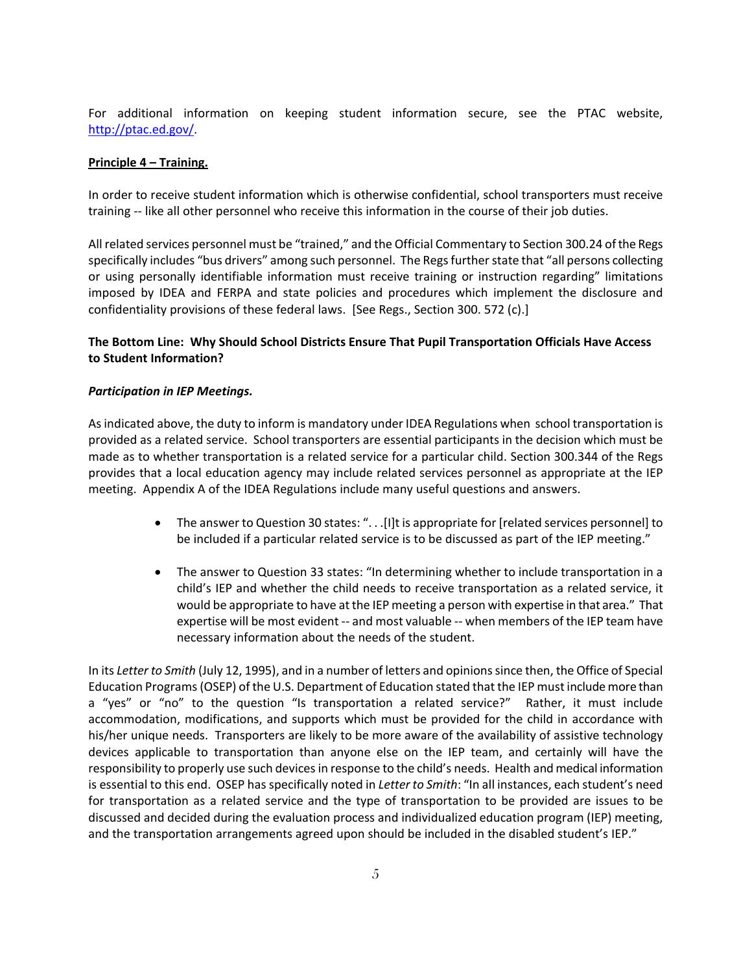For additional information on keeping student information secure, see the PTAC website, [http://ptac.ed.gov/.](http://ptac.ed.gov/)

#### **Principle 4 – Training.**

In order to receive student information which is otherwise confidential, school transporters must receive training -- like all other personnel who receive this information in the course of their job duties.

All related services personnel must be "trained," and the Official Commentary to Section 300.24 of the Regs specifically includes "bus drivers" among such personnel. The Regs further state that "all persons collecting or using personally identifiable information must receive training or instruction regarding" limitations imposed by IDEA and FERPA and state policies and procedures which implement the disclosure and confidentiality provisions of these federal laws. [See Regs., Section 300. 572 (c).]

# **The Bottom Line: Why Should School Districts Ensure That Pupil Transportation Officials Have Access to Student Information?**

#### *Participation in IEP Meetings.*

As indicated above, the duty to inform is mandatory under IDEA Regulations when school transportation is provided as a related service. School transporters are essential participants in the decision which must be made as to whether transportation is a related service for a particular child. Section 300.344 of the Regs provides that a local education agency may include related services personnel as appropriate at the IEP meeting. Appendix A of the IDEA Regulations include many useful questions and answers.

- The answer to Question 30 states: "...[I]t is appropriate for [related services personnel] to be included if a particular related service is to be discussed as part of the IEP meeting."
- The answer to Question 33 states: "In determining whether to include transportation in a child's IEP and whether the child needs to receive transportation as a related service, it would be appropriate to have at the IEP meeting a person with expertise in that area."That expertise will be most evident -- and most valuable -- when members of the IEP team have necessary information about the needs of the student.

In its *Letter to Smith* (July 12, 1995), and in a number of letters and opinions since then, the Office of Special Education Programs (OSEP) of the U.S. Department of Education stated that the IEP must include more than a "yes" or "no" to the question "Is transportation a related service?" Rather, it must include accommodation, modifications, and supports which must be provided for the child in accordance with his/her unique needs. Transporters are likely to be more aware of the availability of assistive technology devices applicable to transportation than anyone else on the IEP team, and certainly will have the responsibility to properly use such devices in response to the child's needs. Health and medical information is essential to this end. OSEP has specifically noted in *Letter to Smith*: "In all instances, each student's need for transportation as a related service and the type of transportation to be provided are issues to be discussed and decided during the evaluation process and individualized education program (IEP) meeting, and the transportation arrangements agreed upon should be included in the disabled student's IEP."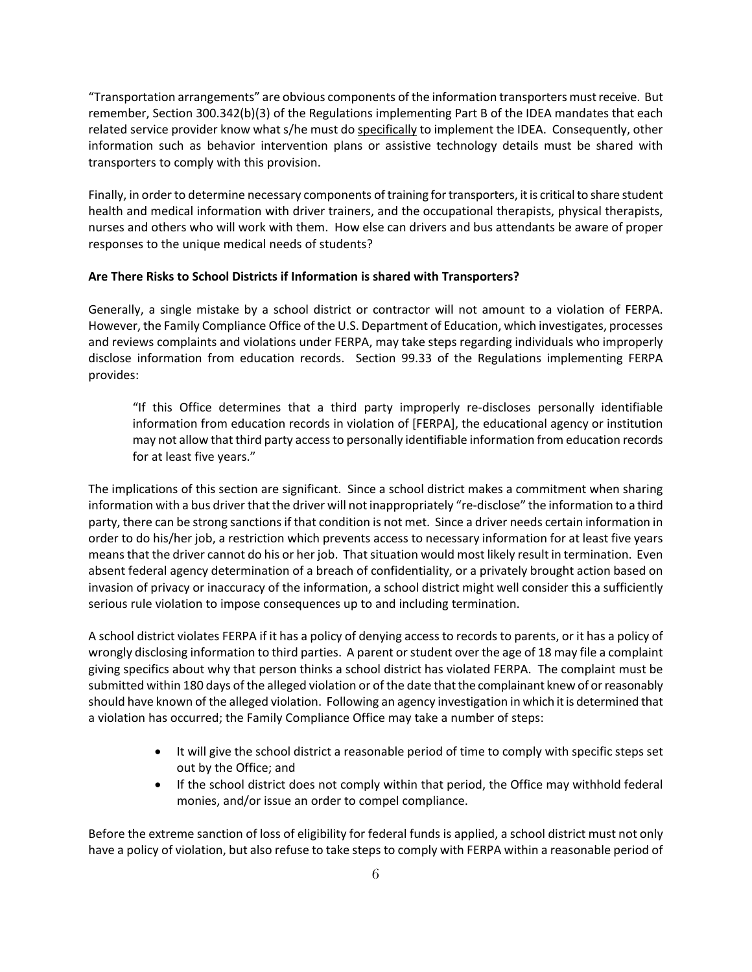"Transportation arrangements" are obvious components of the information transporters must receive. But remember, Section 300.342(b)(3) of the Regulations implementing Part B of the IDEA mandates that each related service provider know what s/he must do specifically to implement the IDEA. Consequently, other information such as behavior intervention plans or assistive technology details must be shared with transporters to comply with this provision.

Finally, in order to determine necessary components of training for transporters, it is critical to share student health and medical information with driver trainers, and the occupational therapists, physical therapists, nurses and others who will work with them. How else can drivers and bus attendants be aware of proper responses to the unique medical needs of students?

### **Are There Risks to School Districts if Information is shared with Transporters?**

Generally, a single mistake by a school district or contractor will not amount to a violation of FERPA. However, the Family Compliance Office of the U.S. Department of Education, which investigates, processes and reviews complaints and violations under FERPA, may take steps regarding individuals who improperly disclose information from education records. Section 99.33 of the Regulations implementing FERPA provides:

"If this Office determines that a third party improperly re-discloses personally identifiable information from education records in violation of [FERPA], the educational agency or institution may not allow that third party access to personally identifiable information from education records for at least five years."

The implications of this section are significant. Since a school district makes a commitment when sharing information with a bus driver that the driver will not inappropriately "re-disclose" the information to a third party, there can be strong sanctions if that condition is not met. Since a driver needs certain information in order to do his/her job, a restriction which prevents access to necessary information for at least five years means that the driver cannot do his or her job. That situation would most likely result in termination. Even absent federal agency determination of a breach of confidentiality, or a privately brought action based on invasion of privacy or inaccuracy of the information, a school district might well consider this a sufficiently serious rule violation to impose consequences up to and including termination.

A school district violates FERPA if it has a policy of denying access to records to parents, or it has a policy of wrongly disclosing information to third parties. A parent or student over the age of 18 may file a complaint giving specifics about why that person thinks a school district has violated FERPA. The complaint must be submitted within 180 days of the alleged violation or of the date that the complainant knew of or reasonably should have known of the alleged violation. Following an agency investigation in which it is determined that a violation has occurred; the Family Compliance Office may take a number of steps:

- It will give the school district a reasonable period of time to comply with specific steps set out by the Office; and
- If the school district does not comply within that period, the Office may withhold federal monies, and/or issue an order to compel compliance.

Before the extreme sanction of loss of eligibility for federal funds is applied, a school district must not only have a policy of violation, but also refuse to take steps to comply with FERPA within a reasonable period of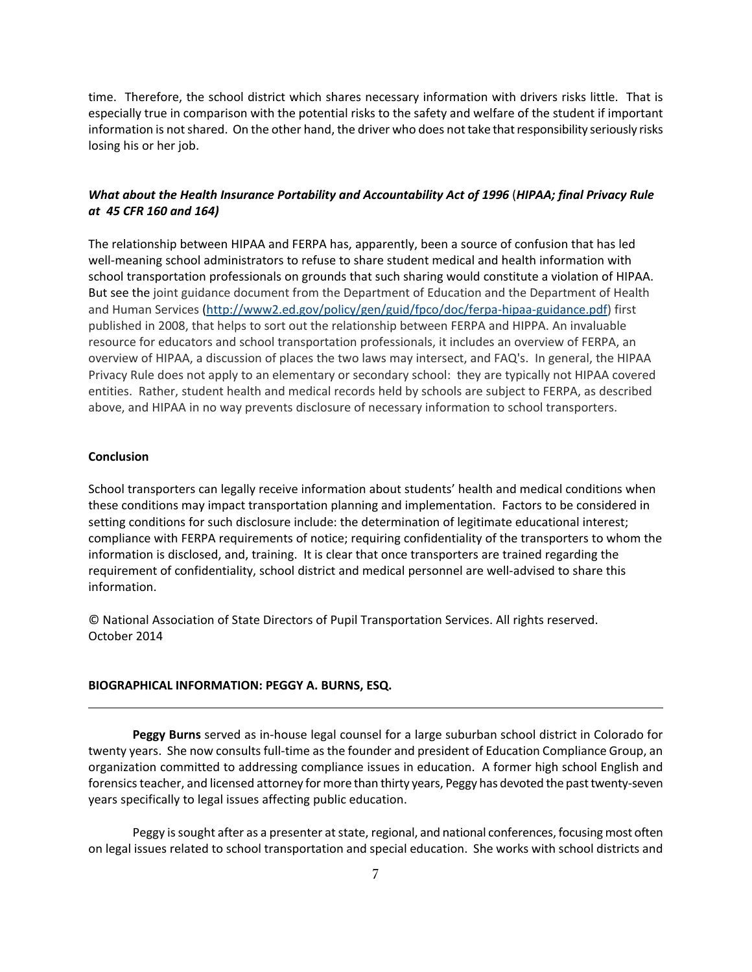time. Therefore, the school district which shares necessary information with drivers risks little. That is especially true in comparison with the potential risks to the safety and welfare of the student if important information is not shared. On the other hand, the driver who does not take that responsibility seriously risks losing his or her job.

### *What about the Health Insurance Portability and Accountability Act of 1996* (*HIPAA; final Privacy Rule at 45 CFR 160 and 164)*

The relationship between HIPAA and FERPA has, apparently, been a source of confusion that has led well-meaning school administrators to refuse to share student medical and health information with school transportation professionals on grounds that such sharing would constitute a violation of HIPAA. But see the joint guidance document from the Department of Education and the Department of Health and Human Services [\(http://www2.ed.gov/policy/gen/guid/fpco/doc/ferpa-hipaa-guidance.pdf\)](http://www2.ed.gov/policy/gen/guid/fpco/doc/ferpa-hipaa-guidance.pdf) first published in 2008, that helps to sort out the relationship between FERPA and HIPPA. An invaluable resource for educators and school transportation professionals, it includes an overview of FERPA, an overview of HIPAA, a discussion of places the two laws may intersect, and FAQ's. In general, the HIPAA Privacy Rule does not apply to an elementary or secondary school: they are typically not HIPAA covered entities. Rather, student health and medical records held by schools are subject to FERPA, as described above, and HIPAA in no way prevents disclosure of necessary information to school transporters.

#### **Conclusion**

School transporters can legally receive information about students' health and medical conditions when these conditions may impact transportation planning and implementation. Factors to be considered in setting conditions for such disclosure include: the determination of legitimate educational interest; compliance with FERPA requirements of notice; requiring confidentiality of the transporters to whom the information is disclosed, and, training. It is clear that once transporters are trained regarding the requirement of confidentiality, school district and medical personnel are well-advised to share this information.

© National Association of State Directors of Pupil Transportation Services. All rights reserved. October 2014

#### **BIOGRAPHICAL INFORMATION: PEGGY A. BURNS, ESQ.**

**Peggy Burns** served as in-house legal counsel for a large suburban school district in Colorado for twenty years. She now consults full-time as the founder and president of Education Compliance Group, an organization committed to addressing compliance issues in education. A former high school English and forensics teacher, and licensed attorney for more than thirty years, Peggy has devoted the past twenty-seven years specifically to legal issues affecting public education.

Peggy is sought after as a presenter at state, regional, and national conferences, focusing most often on legal issues related to school transportation and special education. She works with school districts and